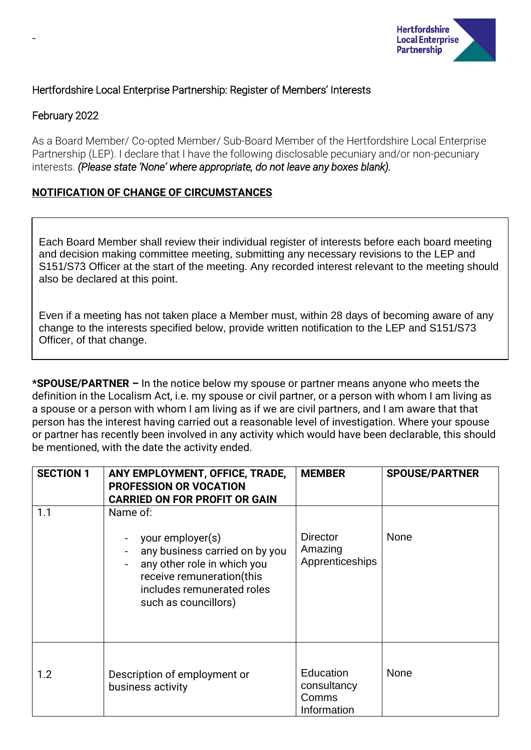

# Hertfordshire Local Enterprise Partnership: Register of Members' Interests

# February 2022

-

As a Board Member/ Co-opted Member/ Sub-Board Member of the Hertfordshire Local Enterprise Partnership (LEP). I declare that I have the following disclosable pecuniary and/or non-pecuniary interests. *(Please state 'None' where appropriate, do not leave any boxes blank).*

# **NOTIFICATION OF CHANGE OF CIRCUMSTANCES**

Each Board Member shall review their individual register of interests before each board meeting and decision making committee meeting, submitting any necessary revisions to the LEP and S151/S73 Officer at the start of the meeting. Any recorded interest relevant to the meeting should also be declared at this point.

Even if a meeting has not taken place a Member must, within 28 days of becoming aware of any change to the interests specified below, provide written notification to the LEP and S151/S73 Officer, of that change.

**\*SPOUSE/PARTNER –** In the notice below my spouse or partner means anyone who meets the definition in the Localism Act, i.e. my spouse or civil partner, or a person with whom I am living as a spouse or a person with whom I am living as if we are civil partners, and I am aware that that person has the interest having carried out a reasonable level of investigation. Where your spouse or partner has recently been involved in any activity which would have been declarable, this should be mentioned, with the date the activity ended.

| <b>SECTION 1</b> | ANY EMPLOYMENT, OFFICE, TRADE,<br><b>PROFESSION OR VOCATION</b><br><b>CARRIED ON FOR PROFIT OR GAIN</b>                                                                          | <b>MEMBER</b>                                    | <b>SPOUSE/PARTNER</b> |
|------------------|----------------------------------------------------------------------------------------------------------------------------------------------------------------------------------|--------------------------------------------------|-----------------------|
| 1.1              | Name of:<br>your employer(s)<br>any business carried on by you<br>any other role in which you<br>receive remuneration(this<br>includes remunerated roles<br>such as councillors) | <b>Director</b><br>Amazing<br>Apprenticeships    | None                  |
| 1.2              | Description of employment or<br>business activity                                                                                                                                | Education<br>consultancy<br>Comms<br>Information | <b>None</b>           |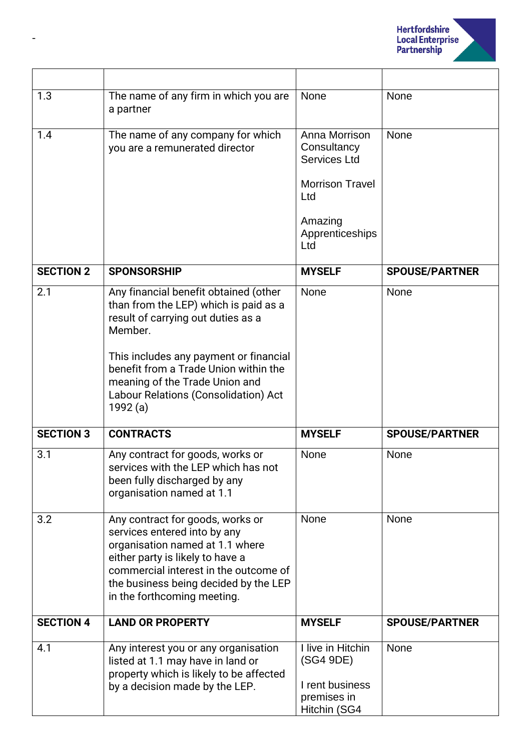

| 1.3              | The name of any firm in which you are<br>a partner                                                                                                                                                                                                                                                      | None                                                                                                                      | <b>None</b>           |
|------------------|---------------------------------------------------------------------------------------------------------------------------------------------------------------------------------------------------------------------------------------------------------------------------------------------------------|---------------------------------------------------------------------------------------------------------------------------|-----------------------|
| 1.4              | The name of any company for which<br>you are a remunerated director                                                                                                                                                                                                                                     | Anna Morrison<br>Consultancy<br><b>Services Ltd</b><br><b>Morrison Travel</b><br>Ltd<br>Amazing<br>Apprenticeships<br>Ltd | None                  |
| <b>SECTION 2</b> | <b>SPONSORSHIP</b>                                                                                                                                                                                                                                                                                      | <b>MYSELF</b>                                                                                                             | <b>SPOUSE/PARTNER</b> |
| 2.1              | Any financial benefit obtained (other<br>than from the LEP) which is paid as a<br>result of carrying out duties as a<br>Member.<br>This includes any payment or financial<br>benefit from a Trade Union within the<br>meaning of the Trade Union and<br>Labour Relations (Consolidation) Act<br>1992(a) | None                                                                                                                      | None                  |
| <b>SECTION 3</b> | <b>CONTRACTS</b>                                                                                                                                                                                                                                                                                        | <b>MYSELF</b>                                                                                                             | <b>SPOUSE/PARTNER</b> |
| 3.1              | Any contract for goods, works or<br>services with the LEP which has not<br>been fully discharged by any<br>organisation named at 1.1                                                                                                                                                                    | None                                                                                                                      | None                  |
| 3.2              | Any contract for goods, works or<br>services entered into by any<br>organisation named at 1.1 where<br>either party is likely to have a<br>commercial interest in the outcome of<br>the business being decided by the LEP<br>in the forthcoming meeting.                                                | None                                                                                                                      | None                  |
| <b>SECTION 4</b> | <b>LAND OR PROPERTY</b>                                                                                                                                                                                                                                                                                 | <b>MYSELF</b>                                                                                                             | <b>SPOUSE/PARTNER</b> |
| 4.1              | Any interest you or any organisation<br>listed at 1.1 may have in land or<br>property which is likely to be affected<br>by a decision made by the LEP.                                                                                                                                                  | I live in Hitchin<br>(SG4 9DE)<br>I rent business<br>premises in<br>Hitchin (SG4                                          | None                  |

-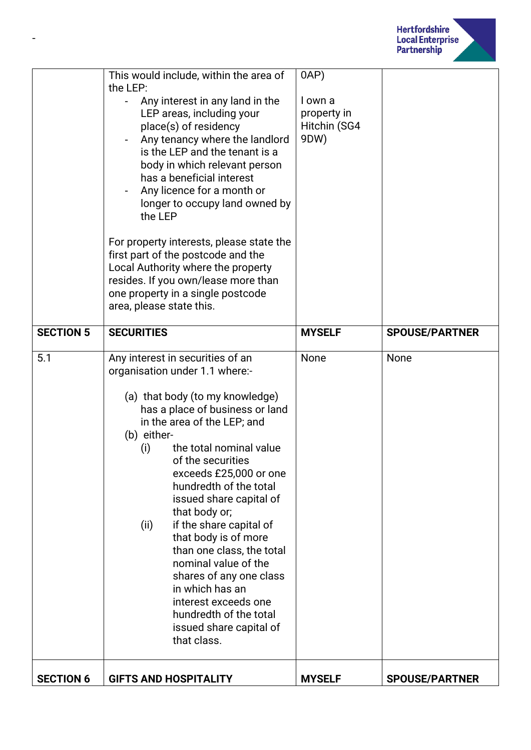

|                  | This would include, within the area of<br>the LEP:<br>Any interest in any land in the<br>LEP areas, including your<br>place(s) of residency<br>Any tenancy where the landlord<br>is the LEP and the tenant is a<br>body in which relevant person<br>has a beneficial interest<br>Any licence for a month or<br>longer to occupy land owned by<br>the LEP<br>For property interests, please state the<br>first part of the postcode and the<br>Local Authority where the property<br>resides. If you own/lease more than<br>one property in a single postcode<br>area, please state this.                | 0AP)<br>I own a<br>property in<br>Hitchin (SG4<br>9DW) |                       |
|------------------|---------------------------------------------------------------------------------------------------------------------------------------------------------------------------------------------------------------------------------------------------------------------------------------------------------------------------------------------------------------------------------------------------------------------------------------------------------------------------------------------------------------------------------------------------------------------------------------------------------|--------------------------------------------------------|-----------------------|
| <b>SECTION 5</b> | <b>SECURITIES</b>                                                                                                                                                                                                                                                                                                                                                                                                                                                                                                                                                                                       | <b>MYSELF</b>                                          | <b>SPOUSE/PARTNER</b> |
| 5.1              | Any interest in securities of an<br>organisation under 1.1 where:-<br>(a) that body (to my knowledge)<br>has a place of business or land<br>in the area of the LEP; and<br>(b) either-<br>the total nominal value<br>(i)<br>of the securities<br>exceeds £25,000 or one<br>hundredth of the total<br>issued share capital of<br>that body or;<br>if the share capital of<br>(ii)<br>that body is of more<br>than one class, the total<br>nominal value of the<br>shares of any one class<br>in which has an<br>interest exceeds one<br>hundredth of the total<br>issued share capital of<br>that class. | None                                                   | None                  |
| <b>SECTION 6</b> | <b>GIFTS AND HOSPITALITY</b>                                                                                                                                                                                                                                                                                                                                                                                                                                                                                                                                                                            | <b>MYSELF</b>                                          | <b>SPOUSE/PARTNER</b> |

-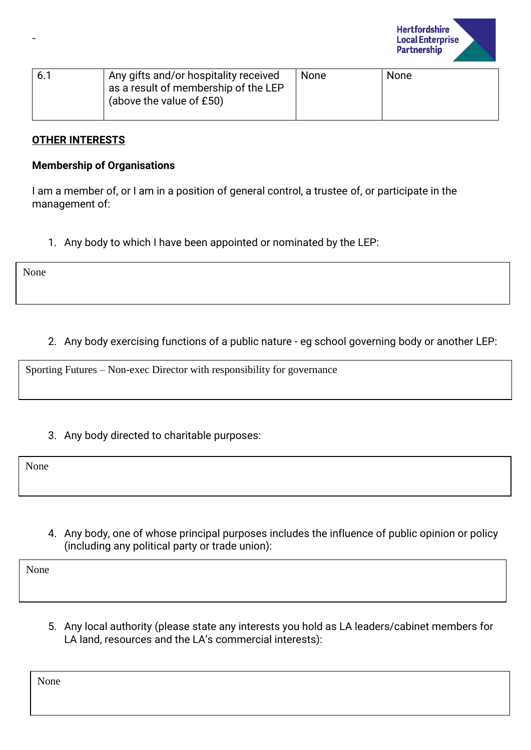

| 6.1 | Any gifts and/or hospitality received<br>as a result of membership of the LEP<br>(above the value of £50) | None | None |
|-----|-----------------------------------------------------------------------------------------------------------|------|------|
|     |                                                                                                           |      |      |

#### **OTHER INTERESTS**

#### **Membership of Organisations**

I am a member of, or I am in a position of general control, a trustee of, or participate in the management of:

1. Any body to which I have been appointed or nominated by the LEP:

None

-

# 2. Any body exercising functions of a public nature - eg school governing body or another LEP:

Sporting Futures – Non-exec Director with responsibility for governance

## 3. Any body directed to charitable purposes:

None

4. Any body, one of whose principal purposes includes the influence of public opinion or policy (including any political party or trade union):

None

5. Any local authority (please state any interests you hold as LA leaders/cabinet members for LA land, resources and the LA's commercial interests):

None